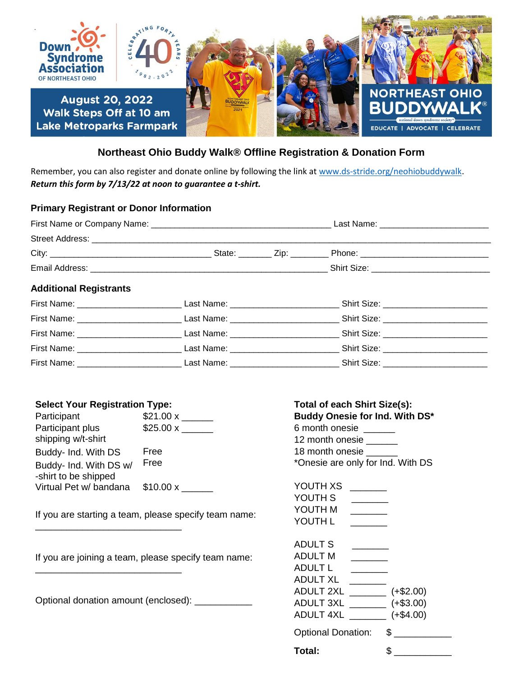

## **Northeast Ohio Buddy Walk® Offline Registration & Donation Form**

Remember, you can also register and donate online by following the link a[t www.ds-stride.org/neohiobuddywalk.](http://www.ds-stride.org/neohiobuddywalk) *Return this form by 7/13/22 at noon to guarantee a t-shirt.* 

## **Primary Registrant or Donor Information**

| <b>Additional Registrants</b> |  |                                                                                                                                                                                                                                |  |
|-------------------------------|--|--------------------------------------------------------------------------------------------------------------------------------------------------------------------------------------------------------------------------------|--|
|                               |  |                                                                                                                                                                                                                                |  |
|                               |  | First Name: Contract Decision Last Name: Contract Decision Shirt Size: Contract Decision Contract Decision Contract Decision Contract Decision Contract Decision Contract Decision Contract Decision Contract Decision Contrac |  |
|                               |  |                                                                                                                                                                                                                                |  |
|                               |  |                                                                                                                                                                                                                                |  |
|                               |  | First Name: Case Communication Case Communication Case Communication Case Communication Case Communication Case Communication Case Communication Case Communication Case Communication Case Communication Case Communication C |  |

## **Select Your Registration Type: Total of each Shirt Size(s):**

\_\_\_\_\_\_\_\_\_\_\_\_\_\_\_\_\_\_\_\_\_\_\_\_\_\_\_\_

\_\_\_\_\_\_\_\_\_\_\_\_\_\_\_\_\_\_\_\_\_\_\_\_\_\_\_\_

| Participant            | $$21.00 \times$ |
|------------------------|-----------------|
| Participant plus       | \$25.00 x       |
| shipping w/t-shirt     |                 |
| Buddy- Ind. With DS    | Free            |
| Buddy- Ind. With DS w/ | Free            |
| -shirt to be shipped   |                 |
| Virtual Pet w/ bandana | \$10.00 x       |

If you are starting a team, please specify team name:

If you are joining a team, please specify team name:

Optional donation amount (enclosed): \_\_\_\_\_\_\_\_\_\_\_\_

**Buddy Onesie for Ind. With DS\*** 6 month onesie \_\_\_\_\_\_ 12 month onesie \_\_\_\_\_\_ 18 month onesie \_ \*Onesie are only for Ind. With DS

| YOUTH XS                  |    |             |
|---------------------------|----|-------------|
| YOUTH S                   |    |             |
| YOUTH M                   |    |             |
| YOUTH L                   |    |             |
|                           |    |             |
| ADULT S                   |    |             |
| ADULT M                   |    |             |
| ADULT L                   |    |             |
| ADULT XL                  |    |             |
| ADULT 2XL                 |    | $(+\$2.00)$ |
| ADULT 3XL                 |    | $(+\$3.00)$ |
| ADULT 4XL                 |    | $(+\$4.00)$ |
| <b>Optional Donation:</b> | \$ |             |
| Total:                    |    | S           |
|                           |    |             |